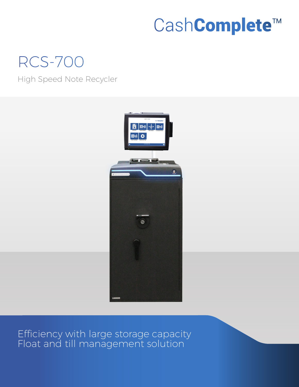# CashComplete™

## RCS-700

High Speed Note Recycler



Efficiency with large storage capacity Float and till management solution